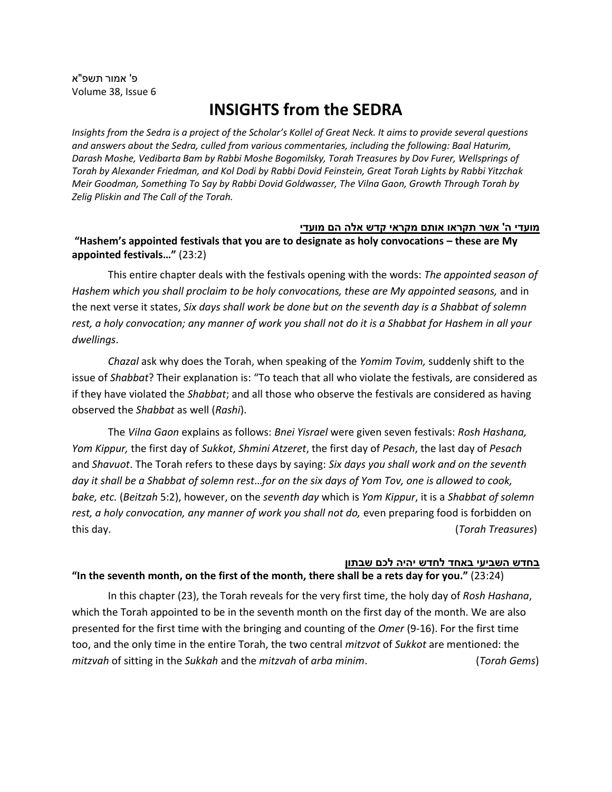פ' אמור תשפ"א Volume 38, Issue 6

# **INSIGHTS from the SEDRA**

*Insights from the Sedra is a project of the Scholar's Kollel of Great Neck. It aims to provide several questions and answers about the Sedra, culled from various commentaries, including the following: Baal Haturim, Darash Moshe, Vedibarta Bam by Rabbi Moshe Bogomilsky, Torah Treasures by Dov Furer, Wellsprings of Torah by Alexander Friedman, and Kol Dodi by Rabbi Dovid Feinstein, Great Torah Lights by Rabbi Yitzchak Meir Goodman, Something To Say by Rabbi Dovid Goldwasser, The Vilna Gaon, Growth Through Torah by Zelig Pliskin and The Call of the Torah.*

### **מועדי ה' אשר תקראו אותם מקראי קדש אלה הם מוע די**

# **"Hashem's appointed festivals that you are to designate as holy convocations – these are My appointed festivals…"** (23:2)

This entire chapter deals with the festivals opening with the words: *The appointed season of Hashem which you shall proclaim to be holy convocations, these are My appointed seasons,* and in the next verse it states, *Six days shall work be done but on the seventh day is a Shabbat of solemn rest, a holy convocation; any manner of work you shall not do it is a Shabbat for Hashem in all your dwellings*.

*Chazal* ask why does the Torah, when speaking of the *Yomim Tovim,* suddenly shift to the issue of *Shabbat*? Their explanation is: "To teach that all who violate the festivals, are considered as if they have violated the *Shabbat*; and all those who observe the festivals are considered as having observed the *Shabbat* as well (*Rashi*).

The *Vilna Gaon* explains as follows: *Bnei Yisrael* were given seven festivals: *Rosh Hashana, Yom Kippur,* the first day of *Sukkot*, *Shmini Atzeret*, the first day of *Pesach*, the last day of *Pesach* and *Shavuot*. The Torah refers to these days by saying: *Six days you shall work and on the seventh day it shall be a Shabbat of solemn rest*…*for on the six days of Yom Tov, one is allowed to cook, bake, etc.* (*Beitzah* 5:2), however, on the *seventh day* which is *Yom Kippur*, it is a *Shabbat of solemn*  rest, a holy convocation, any manner of work you shall not do, even preparing food is forbidden on this day. (*Torah Treasures*)

### **בחדש השביעי בא חד לח דש יהי ה לכם שבתון**

### **"In the seventh month, on the first of the month, there shall be a rets day for you."** (23:24)

In this chapter (23), the Torah reveals for the very first time, the holy day of *Rosh Hashana*, which the Torah appointed to be in the seventh month on the first day of the month. We are also presented for the first time with the bringing and counting of the *Omer* (9-16). For the first time too, and the only time in the entire Torah, the two central *mitzvot* of *Sukkot* are mentioned: the *mitzvah* of sitting in the *Sukkah* and the *mitzvah* of *arba minim*. (*Torah Gems*)